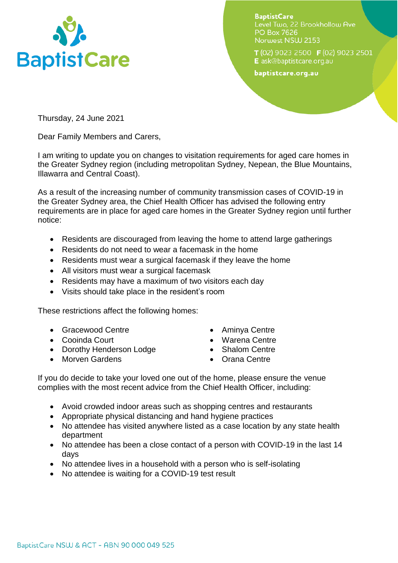

**BaptistCare** Level Two. 22 Brookhollow Ave **PO Box 7626** Norwest NSW 2153

T (02) 9023 2500 F (02) 9023 2501 E ask@baptistcare.org.au

baptistcare.org.au

Thursday, 24 June 2021

Dear Family Members and Carers,

I am writing to update you on changes to visitation requirements for aged care homes in the Greater Sydney region (including metropolitan Sydney, Nepean, the Blue Mountains, Illawarra and Central Coast).

As a result of the increasing number of community transmission cases of COVID-19 in the Greater Sydney area, the Chief Health Officer has advised the following entry requirements are in place for aged care homes in the Greater Sydney region until further notice:

- Residents are discouraged from leaving the home to attend large gatherings
- Residents do not need to wear a facemask in the home
- Residents must wear a surgical facemask if they leave the home
- All visitors must wear a surgical facemask
- Residents may have a maximum of two visitors each day
- Visits should take place in the resident's room

These restrictions affect the following homes:

- Gracewood Centre
- Cooinda Court
- Dorothy Henderson Lodge
- Morven Gardens
- Aminya Centre
- Warena Centre
- Shalom Centre
- Orana Centre

If you do decide to take your loved one out of the home, please ensure the venue complies with the most recent advice from the Chief Health Officer, including:

- Avoid crowded indoor areas such as shopping centres and restaurants
- Appropriate physical distancing and hand hygiene practices
- No attendee has visited anywhere listed as a case location by any state health department
- No attendee has been a close contact of a person with COVID-19 in the last 14 days
- No attendee lives in a household with a person who is self-isolating
- No attendee is waiting for a COVID-19 test result